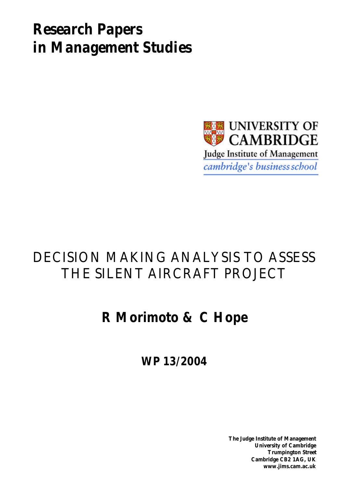# *Research Papers in Management Studies*



# DECISION MAKING ANALYSIS TO ASSESS THE SILENT AIRCRAFT PROJECT

# **R Morimoto & C Hope**

**WP 13/2004**

**The Judge Institute of Management University of Cambridge Trumpington Street Cambridge CB2 1AG, UK www.jims.cam.ac.uk**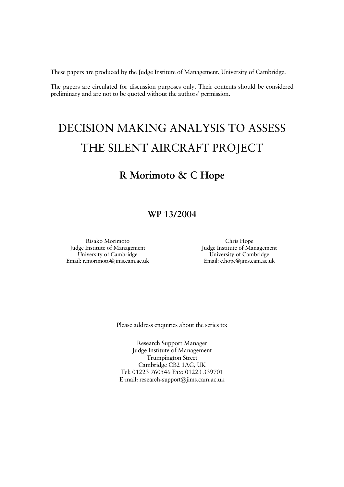These papers are produced by the Judge Institute of Management, University of Cambridge.

The papers are circulated for discussion purposes only. Their contents should be considered preliminary and are not to be quoted without the authors' permission.

# DECISION MAKING ANALYSIS TO ASSESS THE SILENT AIRCRAFT PROJECT

## **R Morimoto & C Hope**

### **WP 13/2004**

Risako Morimoto Judge Institute of Management University of Cambridge Email: r.morimoto@jims.cam.ac.uk

Chris Hope Judge Institute of Management University of Cambridge Email: c.hope@jims.cam.ac.uk

Please address enquiries about the series to:

Research Support Manager Judge Institute of Management Trumpington Street Cambridge CB2 1AG, UK Tel: 01223 760546 Fax: 01223 339701 E-mail: research-support@jims.cam.ac.uk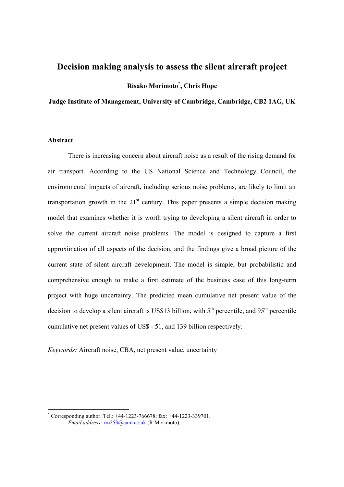### **Decision making analysis to assess the silent aircraft project**

**Risako Morimoto\* , Chris Hope** 

**Judge Institute of Management, University of Cambridge, Cambridge, CB2 1AG, UK** 

#### **Abstract**

There is increasing concern about aircraft noise as a result of the rising demand for air transport. According to the US National Science and Technology Council, the environmental impacts of aircraft, including serious noise problems, are likely to limit air transportation growth in the  $21<sup>st</sup>$  century. This paper presents a simple decision making model that examines whether it is worth trying to developing a silent aircraft in order to solve the current aircraft noise problems. The model is designed to capture a first approximation of all aspects of the decision, and the findings give a broad picture of the current state of silent aircraft development. The model is simple, but probabilistic and comprehensive enough to make a first estimate of the business case of this long-term project with huge uncertainty. The predicted mean cumulative net present value of the decision to develop a silent aircraft is US\$13 billion, with  $5<sup>th</sup>$  percentile, and  $95<sup>th</sup>$  percentile cumulative net present values of US\$ - 51, and 139 billion respectively.

*Keywords:* Aircraft noise, CBA, net present value, uncertainty

<sup>\*</sup> Corresponding author. Tel.: +44-1223-766678; fax: +44-1223-339701. *Email address:* rm253@cam.ac.uk (R Morimoto).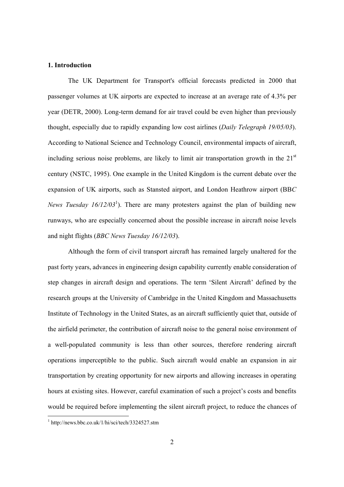#### **1. Introduction**

The UK Department for Transport's official forecasts predicted in 2000 that passenger volumes at UK airports are expected to increase at an average rate of 4.3% per year (DETR, 2000). Long-term demand for air travel could be even higher than previously thought, especially due to rapidly expanding low cost airlines (*Daily Telegraph 19/05/03*). According to National Science and Technology Council, environmental impacts of aircraft, including serious noise problems, are likely to limit air transportation growth in the  $21<sup>st</sup>$ century (NSTC, 1995). One example in the United Kingdom is the current debate over the expansion of UK airports, such as Stansted airport, and London Heathrow airport (BB*C News Tuesday*  $16/12/03^1$ ). There are many protesters against the plan of building new runways, who are especially concerned about the possible increase in aircraft noise levels and night flights (*BBC News Tuesday 16/12/03*).

Although the form of civil transport aircraft has remained largely unaltered for the past forty years, advances in engineering design capability currently enable consideration of step changes in aircraft design and operations. The term 'Silent Aircraft' defined by the research groups at the University of Cambridge in the United Kingdom and Massachusetts Institute of Technology in the United States, as an aircraft sufficiently quiet that, outside of the airfield perimeter, the contribution of aircraft noise to the general noise environment of a well-populated community is less than other sources, therefore rendering aircraft operations imperceptible to the public. Such aircraft would enable an expansion in air transportation by creating opportunity for new airports and allowing increases in operating hours at existing sites. However, careful examination of such a project's costs and benefits would be required before implementing the silent aircraft project, to reduce the chances of

 $\overline{a}$ 

<sup>1</sup> http://news.bbc.co.uk/1/hi/sci/tech/3324527.stm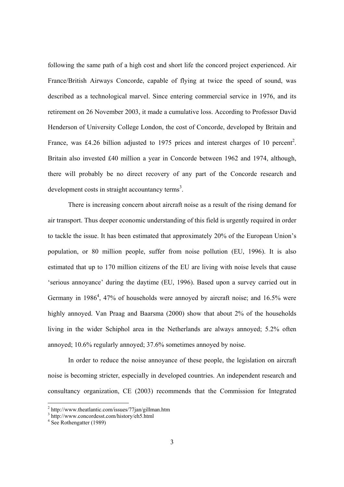following the same path of a high cost and short life the concord project experienced. Air France/British Airways Concorde, capable of flying at twice the speed of sound, was described as a technological marvel. Since entering commercial service in 1976, and its retirement on 26 November 2003, it made a cumulative loss. According to Professor David Henderson of University College London, the cost of Concorde, developed by Britain and France, was £4.26 billion adjusted to 1975 prices and interest charges of 10 percent<sup>2</sup>. Britain also invested £40 million a year in Concorde between 1962 and 1974, although, there will probably be no direct recovery of any part of the Concorde research and development costs in straight accountancy terms<sup>3</sup>.

There is increasing concern about aircraft noise as a result of the rising demand for air transport. Thus deeper economic understanding of this field is urgently required in order to tackle the issue. It has been estimated that approximately 20% of the European Union's population, or 80 million people, suffer from noise pollution (EU, 1996). It is also estimated that up to 170 million citizens of the EU are living with noise levels that cause 'serious annoyance' during the daytime (EU, 1996). Based upon a survey carried out in Germany in 1986<sup>4</sup>, 47% of households were annoyed by aircraft noise; and 16.5% were highly annoyed. Van Praag and Baarsma (2000) show that about 2% of the households living in the wider Schiphol area in the Netherlands are always annoyed; 5.2% often annoyed; 10.6% regularly annoyed; 37.6% sometimes annoyed by noise.

In order to reduce the noise annoyance of these people, the legislation on aircraft noise is becoming stricter, especially in developed countries. An independent research and consultancy organization, CE (2003) recommends that the Commission for Integrated

<sup>2</sup> http://www.theatlantic.com/issues/77jan/gillman.htm

<sup>3</sup> http://www.concordesst.com/history/eh5.html

<sup>&</sup>lt;sup>4</sup> See Rothengatter (1989)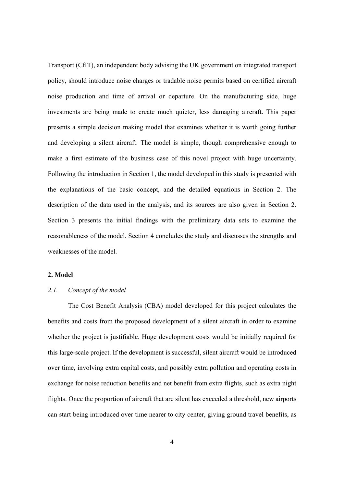Transport (CfIT), an independent body advising the UK government on integrated transport policy, should introduce noise charges or tradable noise permits based on certified aircraft noise production and time of arrival or departure. On the manufacturing side, huge investments are being made to create much quieter, less damaging aircraft. This paper presents a simple decision making model that examines whether it is worth going further and developing a silent aircraft. The model is simple, though comprehensive enough to make a first estimate of the business case of this novel project with huge uncertainty. Following the introduction in Section 1, the model developed in this study is presented with the explanations of the basic concept, and the detailed equations in Section 2. The description of the data used in the analysis, and its sources are also given in Section 2. Section 3 presents the initial findings with the preliminary data sets to examine the reasonableness of the model. Section 4 concludes the study and discusses the strengths and weaknesses of the model.

#### **2. Model**

### *2.1. Concept of the model*

The Cost Benefit Analysis (CBA) model developed for this project calculates the benefits and costs from the proposed development of a silent aircraft in order to examine whether the project is justifiable. Huge development costs would be initially required for this large-scale project. If the development is successful, silent aircraft would be introduced over time, involving extra capital costs, and possibly extra pollution and operating costs in exchange for noise reduction benefits and net benefit from extra flights, such as extra night flights. Once the proportion of aircraft that are silent has exceeded a threshold, new airports can start being introduced over time nearer to city center, giving ground travel benefits, as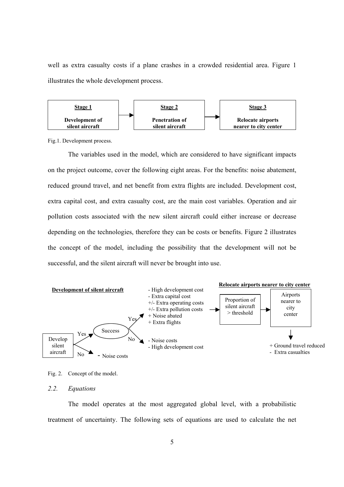well as extra casualty costs if a plane crashes in a crowded residential area. Figure 1 illustrates the whole development process.



Fig.1. Development process.

The variables used in the model, which are considered to have significant impacts on the project outcome, cover the following eight areas. For the benefits: noise abatement, reduced ground travel, and net benefit from extra flights are included. Development cost, extra capital cost, and extra casualty cost, are the main cost variables. Operation and air pollution costs associated with the new silent aircraft could either increase or decrease depending on the technologies, therefore they can be costs or benefits. Figure 2 illustrates the concept of the model, including the possibility that the development will not be successful, and the silent aircraft will never be brought into use.



Fig. 2. Concept of the model.

#### *2.2. Equations*

The model operates at the most aggregated global level, with a probabilistic treatment of uncertainty. The following sets of equations are used to calculate the net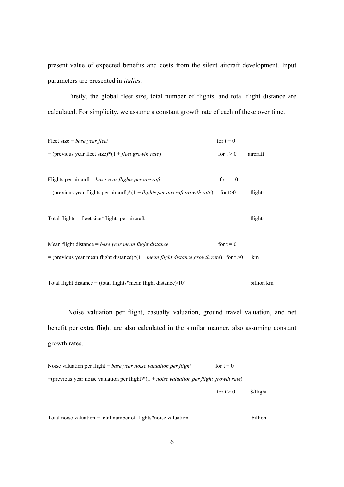present value of expected benefits and costs from the silent aircraft development. Input parameters are presented in *italics*.

Firstly, the global fleet size, total number of flights, and total flight distance are calculated. For simplicity, we assume a constant growth rate of each of these over time.

| Fleet size = base year fleet                                                              | for $t = 0$ |          |
|-------------------------------------------------------------------------------------------|-------------|----------|
| = (previous year fleet size)*(1 + fleet growth rate)                                      | for $t > 0$ | aircraft |
|                                                                                           |             |          |
| Flights per aircraft = base year flights per aircraft                                     | for $t = 0$ |          |
| = (previous year flights per aircraft)*(1 + flights per aircraft growth rate)             | for $t>0$   | flights  |
|                                                                                           |             |          |
| Total flights $=$ fleet size*flights per aircraft                                         |             | flights  |
|                                                                                           |             |          |
| Mean flight distance $=$ base year mean flight distance                                   | for $t = 0$ |          |
| = (previous year mean flight distance)*(1 + mean flight distance growth rate) for $t > 0$ |             | km       |
|                                                                                           |             |          |

Total flight distance = (total flights\*mean flight distance)/ $10^9$ billion km

Noise valuation per flight, casualty valuation, ground travel valuation, and net benefit per extra flight are also calculated in the similar manner, also assuming constant growth rates.

Noise valuation per flight = *base year noise valuation per flight* for  $t = 0$ =(previous year noise valuation per flight)\*(1 + *noise valuation per flight growth rate*)

for  $t > 0$  \$/flight

Total noise valuation = total number of flights\*noise valuation billion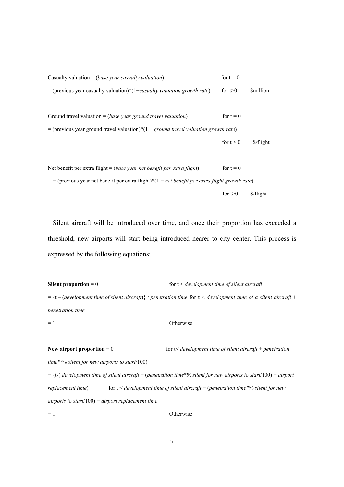| Casualty valuation = ( <i>base year casualty valuation</i> )                                                       | for $t = 0$ |                         |
|--------------------------------------------------------------------------------------------------------------------|-------------|-------------------------|
| = (previous year casualty valuation)*(1+ <i>casualty valuation growth rate</i> )                                   | for $t>0$   | <i>Smillion</i>         |
|                                                                                                                    |             |                         |
| Ground travel valuation $=$ ( <i>base year ground travel valuation</i> )                                           | for $t = 0$ |                         |
| = (previous year ground travel valuation)* $(1 + ground travel valuation growth rate)$                             |             |                         |
|                                                                                                                    | for $t > 0$ | \$/flight               |
|                                                                                                                    |             |                         |
| Net benefit per extra flight = (base year net benefit per extra flight)                                            | for $t = 0$ |                         |
| = (previous year net benefit per extra flight)* $(1 + net \, benefit \, per \, extra \, flight \, growth \, rate)$ |             |                         |
|                                                                                                                    | for $t>0$   | $\frac{\int f}{\int f}$ |

Silent aircraft will be introduced over time, and once their proportion has exceeded a threshold, new airports will start being introduced nearer to city center. This process is expressed by the following equations;

**Silent proportion** = 0 for t < *development time of silent aircraft* = {t – (*development time of silent aircraft*)} / *penetration time* for t < *development time of a silent aircraft* + *penetration time*

 $= 1$  Otherwise

**New airport proportion** = 0 for t is *development time of silent aircraft* + *penetration* 

*time\*(% silent for new airports to start*/100)

= {t-( *development time of silent aircraft* + (*penetration time*\**% silent for new airports to start*/100) + *airport replacement time*) for t < *development time of silent aircraft* + (*penetration time\*% silent for new airports to start*/100) + *airport replacement time*

 $= 1$  Otherwise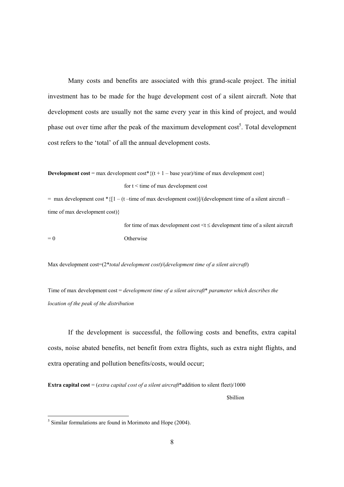Many costs and benefits are associated with this grand-scale project. The initial investment has to be made for the huge development cost of a silent aircraft. Note that development costs are usually not the same every year in this kind of project, and would phase out over time after the peak of the maximum development  $\cos t^5$ . Total development cost refers to the 'total' of all the annual development costs.

**Development cost** = max development cost<sup>\*</sup> { $(t + 1 - base year)/time$  of max development cost} for  $t <$  time of max development cost

 $=$  max development cost \* { $[1 - (t - time of max development cost)]/(development time of a silent aircraft$ time of max development cost)}

for time of max development cost  $\leq t \leq$  development time of a silent aircraft  $= 0$  Otherwise

Max development cost=(2\**total development cost*)/(*development time of a silent aircraft*)

Time of max development cost = *development time of a silent aircraft*\* *parameter which describes the location of the peak of the distribution* 

If the development is successful, the following costs and benefits, extra capital costs, noise abated benefits, net benefit from extra flights, such as extra night flights, and extra operating and pollution benefits/costs, would occur;

**Extra capital cost** = (*extra capital cost of a silent aircraft*\*addition to silent fleet)/1000

\$billion

 $\overline{a}$ 

 $<sup>5</sup>$  Similar formulations are found in Morimoto and Hope (2004).</sup>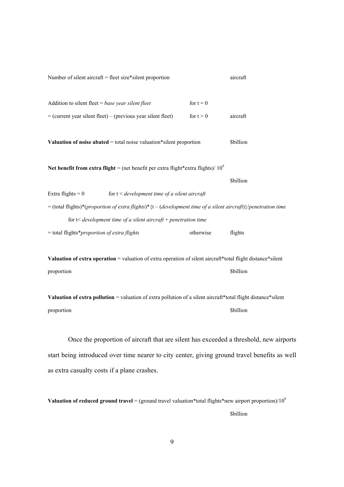| Number of silent aircraft = fleet size*silent proportion                                                        |                                                                                     |             | aircraft         |
|-----------------------------------------------------------------------------------------------------------------|-------------------------------------------------------------------------------------|-------------|------------------|
| Addition to silent fleet = base year silent fleet                                                               |                                                                                     | for $t = 0$ |                  |
| $=$ (current year silent fleet) – (previous year silent fleet)                                                  |                                                                                     | for $t > 0$ | aircraft         |
| Valuation of noise abated $=$ total noise valuation*silent proportion                                           |                                                                                     |             | <b>Sbillion</b>  |
| Net benefit from extra flight = (net benefit per extra flight*extra flights)/ $10^9$                            |                                                                                     |             |                  |
|                                                                                                                 |                                                                                     |             | <b>Sbillion</b>  |
| Extra flights = $0$                                                                                             | for $t <$ development time of a silent aircraft                                     |             |                  |
| = (total flights)*(proportion of extra flights)* {t – (development time of a silent aircraft)}/penetration time |                                                                                     |             |                  |
|                                                                                                                 | for $t$ <i>&lt; development time of a silent aircraft</i> + <i>penetration time</i> |             |                  |
| $=$ total flights*proportion of extra flights                                                                   |                                                                                     | otherwise   | flights          |
| Valuation of extra operation = valuation of extra operation of silent aircraft*total flight distance*silent     |                                                                                     |             |                  |
| proportion                                                                                                      |                                                                                     |             | <b>\$billion</b> |

**Valuation of extra pollution** = valuation of extra pollution of a silent aircraft\*total flight distance\*silent proportion \$billion

Once the proportion of aircraft that are silent has exceeded a threshold, new airports start being introduced over time nearer to city center, giving ground travel benefits as well as extra casualty costs if a plane crashes.

**Valuation of reduced ground travel** = (ground travel valuation\*total flights\*new airport proportion)/10<sup>9</sup> \$billion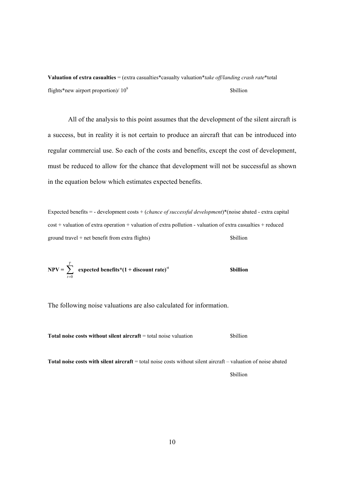**Valuation of extra casualties** = (extra casualties\*casualty valuation\**take off/landing crash rate*\*total flights\*new airport proportion)/  $10^9$ *<u>Sbillion</u>* 

All of the analysis to this point assumes that the development of the silent aircraft is a success, but in reality it is not certain to produce an aircraft that can be introduced into regular commercial use. So each of the costs and benefits, except the cost of development, must be reduced to allow for the chance that development will not be successful as shown in the equation below which estimates expected benefits.

Expected benefits = - development costs + (*chance of successful development*)\*(noise abated - extra capital  $cost + valuation of extra operation + valuation of extra pollution - valuation of extra causatives + reduced$  $ground travel + net benefit from extra flights)$  \$billion

$$
NPV = \sum_{t=0}^{T} expected benefits*(1 + discount rate)^{t}
$$
 **Sbillion**

The following noise valuations are also calculated for information.

**Total noise costs without silent aircraft** = total noise valuation \$billion

**Total noise costs with silent aircraft** = total noise costs without silent aircraft – valuation of noise abated

\$billion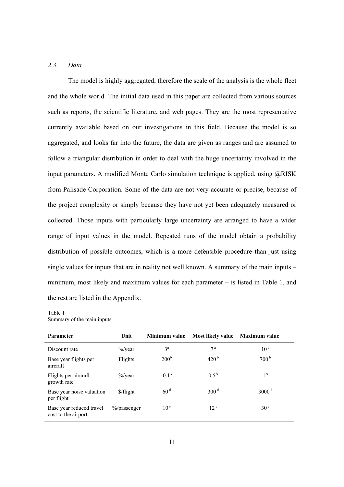#### *2.3. Data*

The model is highly aggregated, therefore the scale of the analysis is the whole fleet and the whole world. The initial data used in this paper are collected from various sources such as reports, the scientific literature, and web pages. They are the most representative currently available based on our investigations in this field. Because the model is so aggregated, and looks far into the future, the data are given as ranges and are assumed to follow a triangular distribution in order to deal with the huge uncertainty involved in the input parameters. A modified Monte Carlo simulation technique is applied, using @RISK from Palisade Corporation. Some of the data are not very accurate or precise, because of the project complexity or simply because they have not yet been adequately measured or collected. Those inputs with particularly large uncertainty are arranged to have a wider range of input values in the model. Repeated runs of the model obtain a probability distribution of possible outcomes, which is a more defensible procedure than just using single values for inputs that are in reality not well known. A summary of the main inputs – minimum, most likely and maximum values for each parameter – is listed in Table 1, and the rest are listed in the Appendix.

#### Table 1 Summary of the main inputs

| <b>Parameter</b>                                | Unit                | Minimum value       | <b>Most likely value</b> | Maximum value       |
|-------------------------------------------------|---------------------|---------------------|--------------------------|---------------------|
| Discount rate                                   | $\frac{9}{9}$ /year | 3 <sup>a</sup>      | 7 <sup>a</sup>           | 10 <sup>a</sup>     |
| Base year flights per<br>aircraft               | Flights             | 200 <sup>b</sup>    | 420 <sup>b</sup>         | 700 <sup>b</sup>    |
| Flights per aircraft<br>growth rate             | $\frac{9}{9}$ /year | $-0.1$ <sup>c</sup> | $0.5^{\circ}$            | $1^{\circ}$         |
| Base year noise valuation<br>per flight         | \$/flight           | 60 <sup>d</sup>     | 300 <sup>d</sup>         | $3000$ <sup>d</sup> |
| Base year reduced travel<br>cost to the airport | $\%$ /passenger     | 10 <sup>e</sup>     | 12 <sup>e</sup>          | 30 <sup>e</sup>     |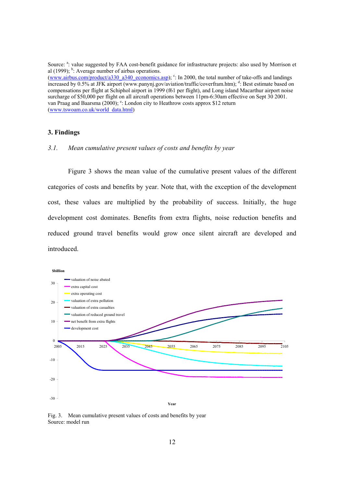Source: <sup>a</sup>: value suggested by FAA cost-benefit guidance for infrastructure projects: also used by Morrison et al  $(1999)$ ; <sup>b</sup>: Average number of airbus operations.

(www.airbus.com/product/a330\_a340\_economics.asp);  $\degree$ : In 2000, the total number of take-offs and landings increased by 0.5% at JFK airport (www.panynj.gov/aviation/traffic/coverfram.htm); d: Best estimate based on compensations per flight at Schiphol airport in 1999 (f61 per flight), and Long island Macarthur airport noise surcharge of \$50,000 per flight on all aircraft operations between 11pm-6:30am effective on Sept 30 2001. van Praag and Baarsma (2000); <sup>e</sup>: London city to Heathrow costs approx \$12 return (www.tswoam.co.uk/world\_data.html)

#### **3. Findings**

#### *3.1. Mean cumulative present values of costs and benefits by year*

Figure 3 shows the mean value of the cumulative present values of the different categories of costs and benefits by year. Note that, with the exception of the development cost, these values are multiplied by the probability of success. Initially, the huge development cost dominates. Benefits from extra flights, noise reduction benefits and reduced ground travel benefits would grow once silent aircraft are developed and introduced.



Fig. 3. Mean cumulative present values of costs and benefits by year Source: model run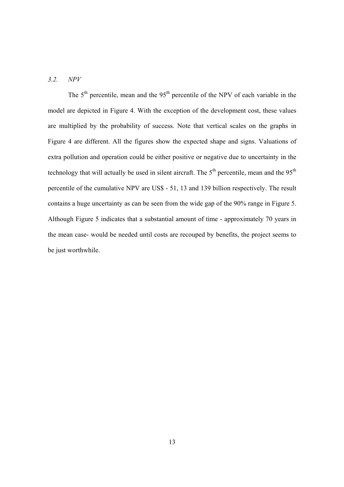#### *3.2. NPV*

The  $5<sup>th</sup>$  percentile, mean and the  $95<sup>th</sup>$  percentile of the NPV of each variable in the model are depicted in Figure 4. With the exception of the development cost, these values are multiplied by the probability of success. Note that vertical scales on the graphs in Figure 4 are different. All the figures show the expected shape and signs. Valuations of extra pollution and operation could be either positive or negative due to uncertainty in the technology that will actually be used in silent aircraft. The  $5<sup>th</sup>$  percentile, mean and the  $95<sup>th</sup>$ percentile of the cumulative NPV are US\$ - 51, 13 and 139 billion respectively. The result contains a huge uncertainty as can be seen from the wide gap of the 90% range in Figure 5. Although Figure 5 indicates that a substantial amount of time - approximately 70 years in the mean case- would be needed until costs are recouped by benefits, the project seems to be just worthwhile.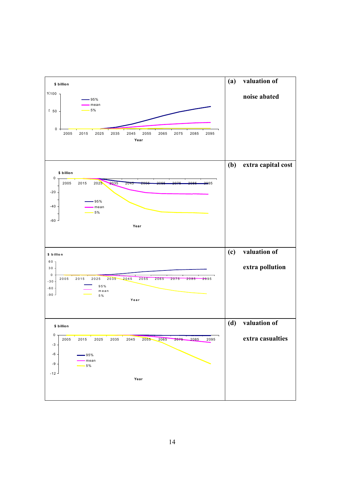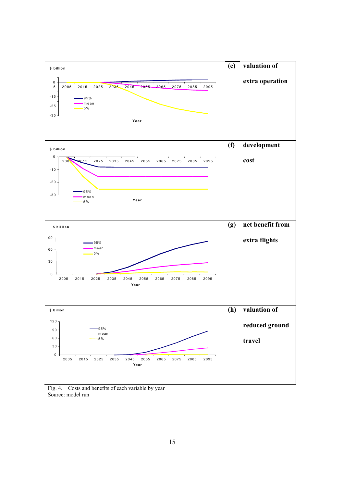

Fig. 4. Costs and benefits of each variable by year Source: model run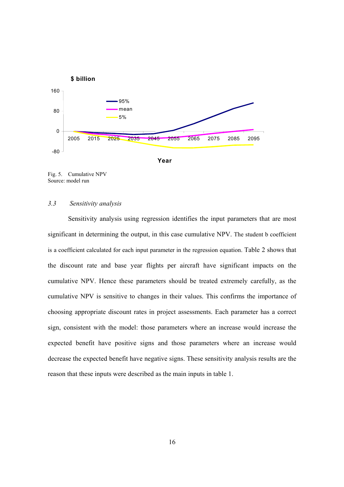

Fig. 5. Cumulative NPV Source: model run

#### *3.3 Sensitivity analysis*

Sensitivity analysis using regression identifies the input parameters that are most significant in determining the output, in this case cumulative NPV. The student b coefficient is a coefficient calculated for each input parameter in the regression equation. Table 2 shows that the discount rate and base year flights per aircraft have significant impacts on the cumulative NPV. Hence these parameters should be treated extremely carefully, as the cumulative NPV is sensitive to changes in their values. This confirms the importance of choosing appropriate discount rates in project assessments. Each parameter has a correct sign, consistent with the model: those parameters where an increase would increase the expected benefit have positive signs and those parameters where an increase would decrease the expected benefit have negative signs. These sensitivity analysis results are the reason that these inputs were described as the main inputs in table 1.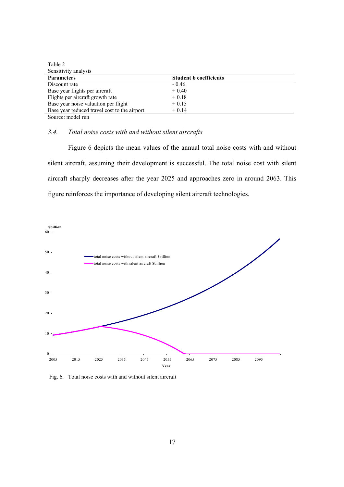| Table 2                                      |                               |  |
|----------------------------------------------|-------------------------------|--|
| Sensitivity analysis                         |                               |  |
| <b>Parameters</b>                            | <b>Student b coefficients</b> |  |
| Discount rate                                | $-0.46$                       |  |
| Base year flights per aircraft               | $+0.40$                       |  |
| Flights per aircraft growth rate             | $+0.18$                       |  |
| Base year noise valuation per flight         | $+0.15$                       |  |
| Base year reduced travel cost to the airport | $+0.14$                       |  |
| Source: model run                            |                               |  |

#### *3.4. Total noise costs with and without silent aircrafts*

Figure 6 depicts the mean values of the annual total noise costs with and without silent aircraft, assuming their development is successful. The total noise cost with silent aircraft sharply decreases after the year 2025 and approaches zero in around 2063. This figure reinforces the importance of developing silent aircraft technologies.



Fig. 6. Total noise costs with and without silent aircraft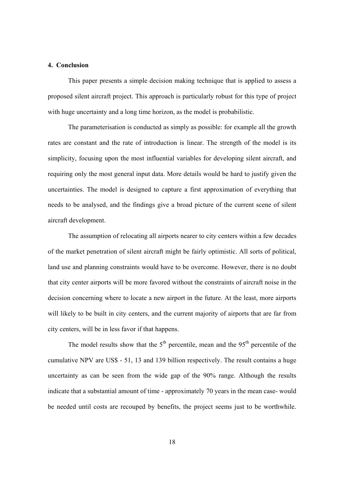#### **4. Conclusion**

This paper presents a simple decision making technique that is applied to assess a proposed silent aircraft project. This approach is particularly robust for this type of project with huge uncertainty and a long time horizon, as the model is probabilistic.

The parameterisation is conducted as simply as possible: for example all the growth rates are constant and the rate of introduction is linear. The strength of the model is its simplicity, focusing upon the most influential variables for developing silent aircraft, and requiring only the most general input data. More details would be hard to justify given the uncertainties. The model is designed to capture a first approximation of everything that needs to be analysed, and the findings give a broad picture of the current scene of silent aircraft development.

The assumption of relocating all airports nearer to city centers within a few decades of the market penetration of silent aircraft might be fairly optimistic. All sorts of political, land use and planning constraints would have to be overcome. However, there is no doubt that city center airports will be more favored without the constraints of aircraft noise in the decision concerning where to locate a new airport in the future. At the least, more airports will likely to be built in city centers, and the current majority of airports that are far from city centers, will be in less favor if that happens.

The model results show that the  $5<sup>th</sup>$  percentile, mean and the  $95<sup>th</sup>$  percentile of the cumulative NPV are US\$ - 51, 13 and 139 billion respectively. The result contains a huge uncertainty as can be seen from the wide gap of the 90% range. Although the results indicate that a substantial amount of time - approximately 70 years in the mean case- would be needed until costs are recouped by benefits, the project seems just to be worthwhile.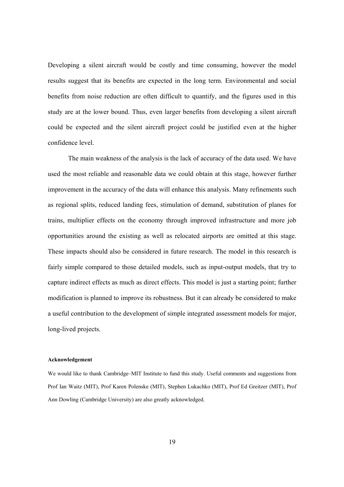Developing a silent aircraft would be costly and time consuming, however the model results suggest that its benefits are expected in the long term. Environmental and social benefits from noise reduction are often difficult to quantify, and the figures used in this study are at the lower bound. Thus, even larger benefits from developing a silent aircraft could be expected and the silent aircraft project could be justified even at the higher confidence level.

The main weakness of the analysis is the lack of accuracy of the data used. We have used the most reliable and reasonable data we could obtain at this stage, however further improvement in the accuracy of the data will enhance this analysis. Many refinements such as regional splits, reduced landing fees, stimulation of demand, substitution of planes for trains, multiplier effects on the economy through improved infrastructure and more job opportunities around the existing as well as relocated airports are omitted at this stage. These impacts should also be considered in future research. The model in this research is fairly simple compared to those detailed models, such as input-output models, that try to capture indirect effects as much as direct effects. This model is just a starting point; further modification is planned to improve its robustness. But it can already be considered to make a useful contribution to the development of simple integrated assessment models for major, long-lived projects.

#### **Acknowledgement**

We would like to thank Cambridge–MIT Institute to fund this study. Useful comments and suggestions from Prof Ian Waitz (MIT), Prof Karen Polenske (MIT), Stephen Lukachko (MIT), Prof Ed Greitzer (MIT), Prof Ann Dowling (Cambridge University) are also greatly acknowledged.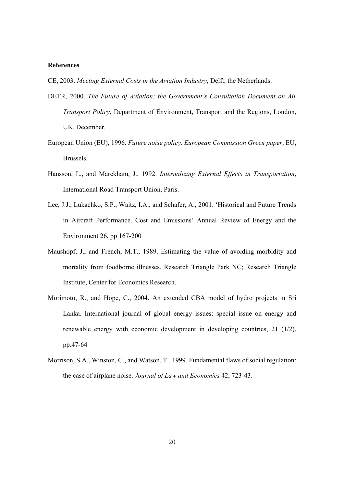#### **References**

CE, 2003. *Meeting External Costs in the Aviation Industry*, Delft, the Netherlands.

- DETR, 2000. *The Future of Aviation: the Government's Consultation Document on Air Transport Policy*, Department of Environment, Transport and the Regions, London, UK, December.
- European Union (EU), 1996. *Future noise policy, European Commission Green paper*, EU, Brussels.
- Hansson, L., and Marckham, J., 1992. *Internalizing External Effects in Transportation*, International Road Transport Union, Paris.
- Lee, J.J., Lukachko, S.P., Waitz, I.A., and Schafer, A., 2001. 'Historical and Future Trends in Aircraft Performance. Cost and Emissions' Annual Review of Energy and the Environment 26, pp 167-200
- Maushopf, J., and French, M.T., 1989. Estimating the value of avoiding morbidity and mortality from foodborne illnesses. Research Triangle Park NC; Research Triangle Institute, Center for Economics Research.
- Morimoto, R., and Hope, C., 2004. An extended CBA model of hydro projects in Sri Lanka. International journal of global energy issues: special issue on energy and renewable energy with economic development in developing countries, 21 (1/2), pp.47-64
- Morrison, S.A., Winston, C., and Watson, T., 1999. Fundamental flaws of social regulation: the case of airplane noise. *Journal of Law and Economics* 42, 723-43.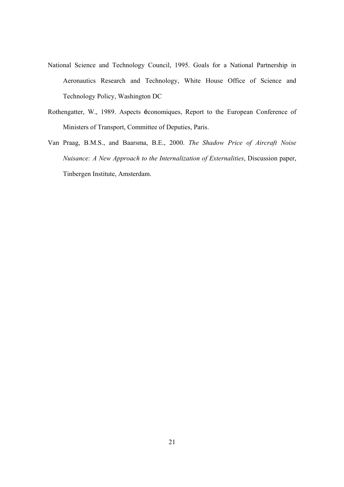- National Science and Technology Council, 1995. Goals for a National Partnership in Aeronautics Research and Technology, White House Office of Science and Technology Policy, Washington DC
- Rothengatter, W., 1989. Aspects économiques, Report to the European Conference of Ministers of Transport, Committee of Deputies, Paris.
- Van Praag, B.M.S., and Baarsma, B.E., 2000. *The Shadow Price of Aircraft Noise Nuisance: A New Approach to the Internalization of Externalities*, Discussion paper, Tinbergen Institute, Amsterdam.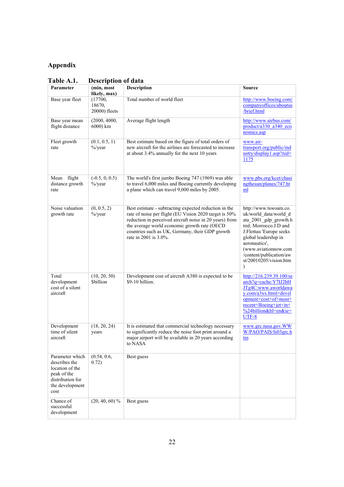### **Appendix**

| 1 AVIC 71.1.                                                                                                      | DUSCI IPUUII UI UAIA               |                                                                                                                                                                                                                                                                                                        |                                                                                                                                                                                                                                                                |
|-------------------------------------------------------------------------------------------------------------------|------------------------------------|--------------------------------------------------------------------------------------------------------------------------------------------------------------------------------------------------------------------------------------------------------------------------------------------------------|----------------------------------------------------------------------------------------------------------------------------------------------------------------------------------------------------------------------------------------------------------------|
| Parameter                                                                                                         | (min, most<br>likely, max)         | <b>Description</b>                                                                                                                                                                                                                                                                                     | <b>Source</b>                                                                                                                                                                                                                                                  |
| Base year fleet                                                                                                   | (17700,<br>18670,<br>20000) fleets | Total number of world fleet                                                                                                                                                                                                                                                                            | http://www.boeing.com/<br>companyoffices/aboutus<br>/brief.html                                                                                                                                                                                                |
| Base year mean<br>flight distance                                                                                 | (2000, 4000,<br>6000) km           | Average flight length                                                                                                                                                                                                                                                                                  | http://www.airbus.com/<br>product/a330 a340 eco<br>nomics.asp                                                                                                                                                                                                  |
| Fleet growth<br>rate                                                                                              | (0.1, 0.5, 1)<br>$\%$ /year        | Best estimate based on the figure of total orders of<br>new aircraft for the airlines are forecasted to increase<br>at about 3.4% annually for the next 10 years                                                                                                                                       | www.air-<br>transport.org/public/ind<br>ustry/display1.asp?nid=<br>1175                                                                                                                                                                                        |
| Mean flight<br>distance growth<br>rate                                                                            | $(-0.5, 0, 0.5)$<br>$\%$ /year     | The world's first jumbo Boeing 747 (1969) was able<br>to travel 6,000 miles and Boeing currently developing<br>a plane which can travel 9,000 miles by 2005.                                                                                                                                           | www.pbs.org/kcet/chasi<br>ngthesun/planes/747.ht<br>ml                                                                                                                                                                                                         |
| Noise valuation<br>growth rate                                                                                    | (0, 0.5, 2)<br>$\frac{9}{9}$ /year | Best estimate - subtracting expected reduction in the<br>rate of noise per flight (EU Vision 2020 target is 50%<br>reduction in perceived aircraft noise in 20 years) from<br>the average world economic growth rate (OECD<br>countries such as UK, Germany, their GDP growth<br>rate in 2001 is 3.0%. | http://www.tswoam.co.<br>uk/world data/world d<br>ata 2001 gdp growth.h<br>tml; Morrocco.J.D and<br>J.Flottau 'Europe seeks<br>global leadership in<br>aeronautics',<br>(www.aviationnow.com<br>/content/publication/aw<br>st/20010205/vision.htm<br>$\lambda$ |
| Total<br>development<br>cost of a silent<br>aircraft                                                              | (10, 20, 50)<br><b>Sbillion</b>    | Development cost of aircraft A380 is expected to be<br>\$9-10 billion.                                                                                                                                                                                                                                 | http://216.239.39.100/se<br>arch?q=cache:Y7IJ2bH<br>JTg4C:www.aworldawa<br>y.com/a3xx.html+devel<br>opment+cost+of+most+<br>recent+Boeing+jet+in+<br>%24billion&hl=en&ie=<br>UTF-8                                                                             |
| Development<br>time of silent<br>aircraft                                                                         | (18, 20, 24)<br>years              | It is estimated that commercial technology necessary<br>to significantly reduce the noise foot print around a<br>major airport will be available in 20 years according<br>to NASA                                                                                                                      | www.grc.nasa.gov.WW<br>W/PAO/PAIS/fs03grc.h<br>tm                                                                                                                                                                                                              |
| Parameter which<br>describes the<br>location of the<br>peak of the<br>distribution for<br>the development<br>cost | (0.54, 0.6,<br>0.72)               | Best guess                                                                                                                                                                                                                                                                                             |                                                                                                                                                                                                                                                                |
| Chance of<br>successful<br>development                                                                            | $(20, 40, 60)$ %                   | Best guess                                                                                                                                                                                                                                                                                             |                                                                                                                                                                                                                                                                |

**Table A.1. Description of data**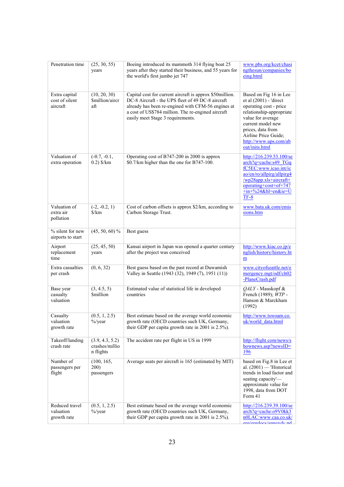| Penetration time                            | (25, 30, 55)<br>years                          | Boeing introduced its mammoth 314 flying boat 25<br>years after they started their business, and 55 years for<br>the world's first jumbo jet 747                                                                                                               | www.pbs.org/kcet/chasi<br>ngthesun/companies/bo<br>eing.html                                                                                                                                                                             |
|---------------------------------------------|------------------------------------------------|----------------------------------------------------------------------------------------------------------------------------------------------------------------------------------------------------------------------------------------------------------------|------------------------------------------------------------------------------------------------------------------------------------------------------------------------------------------------------------------------------------------|
| Extra capital<br>cost of silent<br>aircraft | (10, 20, 30)<br>Smillion/aircr<br>aft          | Capital cost for current aircraft is approx \$50million.<br>DC-8 Aircraft - the UPS fleet of 49 DC-8 aircraft<br>already has been re-engined with CFM-56 engines at<br>a cost of US\$784 million. The re-engined aircraft<br>easily meet Stage 3 requirements. | Based on Fig 16 in Lee<br>et al (2001) - 'direct<br>operating cost - price<br>relationship-appropriate<br>value for average<br>current model new<br>prices, data from<br>Airline Price Guide;<br>http://www.ups.com/ab<br>out/inits.html |
| Valuation of<br>extra operation             | $(-0.7, -0.1,$<br>$0.2$ ) \$/km                | Operating cost of B747-200 in 2000 is approx<br>\$0.7/km higher than the one for B747-100.                                                                                                                                                                     | $\frac{\text{http://216.239.53.100/se}}{2}$<br>$arch?q = cache: s49$ TGq<br>fC5EC:www.icao.int/ic<br>ao/en/ro/allpirg/allpirg4<br>/wp28app.xls+aircraft+<br>operating+cost+of+747<br>+in+%24&hl=en&ie=U<br>$TF-8$                        |
| Valuation of<br>extra air<br>pollution      | $(-2, -0.2, 1)$<br>$\frac{\sqrt{km}}{2}$       | Cost of carbon offsets is approx \$2/km, according to<br>Carbon Storage Trust.                                                                                                                                                                                 | www.bata.uk.com/emis<br>sions.htm                                                                                                                                                                                                        |
| % silent for new<br>airports to start       | $(45, 50, 60)$ %                               | Best guess                                                                                                                                                                                                                                                     |                                                                                                                                                                                                                                          |
| Airport<br>replacement<br>time              | (25, 45, 50)<br>years                          | Kansai airport in Japan was opened a quarter century<br>after the project was conceived                                                                                                                                                                        | http://www.kiac.co.jp/e<br>nglish/history/history.ht<br>m                                                                                                                                                                                |
| Extra casualties<br>per crash               | (0, 6, 32)                                     | Best guess based on the past record at Duwamish<br>Valley in Seattle (1943 (32), 1949 (7), 1951 (11))                                                                                                                                                          | www.cityofseattle.net/e<br>mergency.mgt/odf/ch02<br>-PlaneCrash.pdf                                                                                                                                                                      |
| Base year<br>casualty<br>valuation          | (3, 4.5, 5)<br><b>Smillion</b>                 | Estimated value of statistical life in developed<br>countries                                                                                                                                                                                                  | QALY - Mauskopf &<br>French (1989); WTP -<br>Hanson & Marckham<br>(1992)                                                                                                                                                                 |
| Casualty<br>valuation<br>growth rate        | (0.5, 1, 2.5)<br>$\frac{6}{2}$ year            | Best estimate based on the average world economic<br>growth rate (OECD countries such UK, Germany,<br>their GDP per capita growth rate in 2001 is 2.5%).                                                                                                       | http://www.tswoam.co.<br>uk/world data.html                                                                                                                                                                                              |
| Takeoff/landing<br>crash rate               | (3.9, 4.3, 5.2)<br>crashes/millio<br>n flights | The accident rate per flight in US in 1999                                                                                                                                                                                                                     | http://flight.com/news/s<br>hownews.asp?newsID=<br>196                                                                                                                                                                                   |
| Number of<br>passengers per<br>flight       | (100, 165,<br>200)<br>passengers               | Average seats per aircraft is 165 (estimated by MIT)                                                                                                                                                                                                           | based on Fig.8 in Lee et<br>al. $(2001)$ - 'Historical<br>trends in load factor and<br>seating capacity'-<br>approximate value for<br>1998, data from DOT<br>Form 41                                                                     |
| Reduced travel<br>valuation<br>growth rate  | (0.5, 1, 2.5)<br>$\%$ /year                    | Best estimate based on the average world economic<br>growth rate (OECD countries such UK, Germany,<br>their GDP per capita growth rate in 2001 is 2.5%).                                                                                                       | $\frac{\text{http://216.239.39.100/se}}{2}$<br>arch?q=cache:o9V0kk3<br>n0LAC:www.caa.co.uk/<br>ara/aradoos/annavdu.nd                                                                                                                    |